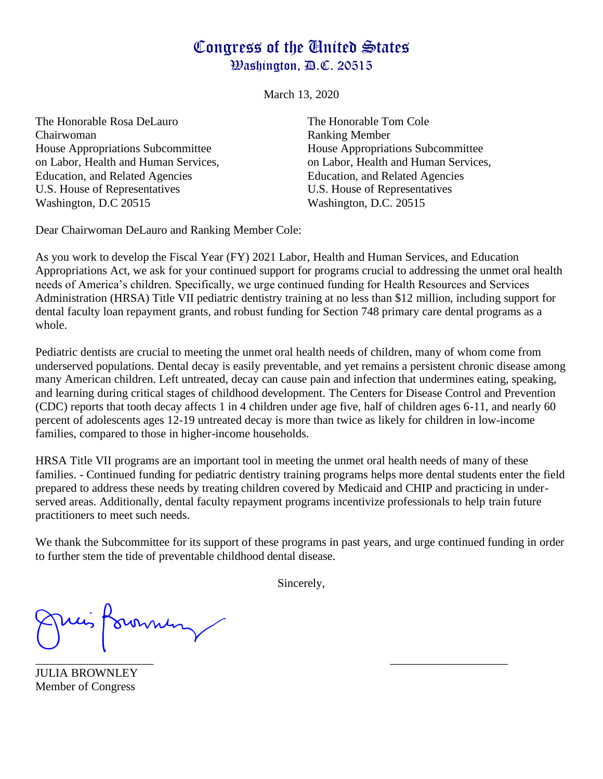## Congress of the United States Washington, D.C. 20515

March 13, 2020

The Honorable Rosa DeLauro The Honorable Tom Cole Chairwoman Ranking Member House Appropriations Subcommittee House Appropriations Subcommittee Education, and Related Agencies Education, and Related Agencies U.S. House of Representatives U.S. House of Representatives Washington, D.C 20515 Washington, D.C. 20515

on Labor, Health and Human Services, on Labor, Health and Human Services,

Dear Chairwoman DeLauro and Ranking Member Cole:

As you work to develop the Fiscal Year (FY) 2021 Labor, Health and Human Services, and Education Appropriations Act, we ask for your continued support for programs crucial to addressing the unmet oral health needs of America's children. Specifically, we urge continued funding for Health Resources and Services Administration (HRSA) Title VII pediatric dentistry training at no less than \$12 million, including support for dental faculty loan repayment grants, and robust funding for Section 748 primary care dental programs as a whole.

Pediatric dentists are crucial to meeting the unmet oral health needs of children, many of whom come from underserved populations. Dental decay is easily preventable, and yet remains a persistent chronic disease among many American children. Left untreated, decay can cause pain and infection that undermines eating, speaking, and learning during critical stages of childhood development. The Centers for Disease Control and Prevention (CDC) reports that tooth decay affects 1 in 4 children under age five, half of children ages 6-11, and nearly 60 percent of adolescents ages 12-19 untreated decay is more than twice as likely for children in low-income families, compared to those in higher-income households.

HRSA Title VII programs are an important tool in meeting the unmet oral health needs of many of these families. - Continued funding for pediatric dentistry training programs helps more dental students enter the field prepared to address these needs by treating children covered by Medicaid and CHIP and practicing in underserved areas. Additionally, dental faculty repayment programs incentivize professionals to help train future practitioners to meet such needs.

We thank the Subcommittee for its support of these programs in past years, and urge continued funding in order to further stem the tide of preventable childhood dental disease.

Sincerely,

Aown  $\overline{\phantom{a}}$  , and the contract of the contract of the contract of the contract of the contract of the contract of the contract of the contract of the contract of the contract of the contract of the contract of the contrac

JULIA BROWNLEY Member of Congress